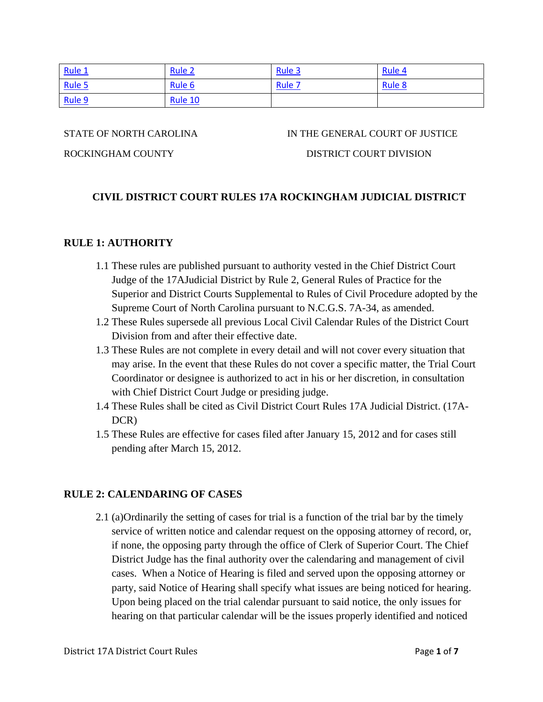<span id="page-0-2"></span>

| Rule 1 | Rule <sub>2</sub> | Rule 3            | Rule 4        |
|--------|-------------------|-------------------|---------------|
| Rule 5 | Rule <sub>6</sub> | Rule <sub>7</sub> | <b>Rule 8</b> |
| Rule 9 | Rule 10           |                   |               |

#### STATE OF NORTH CAROLINA IN THE GENERAL COURT OF JUSTICE

### ROCKINGHAM COUNTY DISTRICT COURT DIVISION

## **CIVIL DISTRICT COURT RULES 17A ROCKINGHAM JUDICIAL DISTRICT**

#### <span id="page-0-0"></span>**RULE 1: AUTHORITY**

- 1.1 These rules are published pursuant to authority vested in the Chief District Court Judge of the 17AJudicial District by Rule 2, General Rules of Practice for the Superior and District Courts Supplemental to Rules of Civil Procedure adopted by the Supreme Court of North Carolina pursuant to N.C.G.S. 7A-34, as amended.
- 1.2 These Rules supersede all previous Local Civil Calendar Rules of the District Court Division from and after their effective date.
- 1.3 These Rules are not complete in every detail and will not cover every situation that may arise. In the event that these Rules do not cover a specific matter, the Trial Court Coordinator or designee is authorized to act in his or her discretion, in consultation with Chief District Court Judge or presiding judge.
- 1.4 These Rules shall be cited as Civil District Court Rules 17A Judicial District. (17A-DCR)
- 1.5 These Rules are effective for cases filed after January 15, 2012 and for cases still pending after March 15, 2012.

### <span id="page-0-1"></span>**RULE 2: CALENDARING OF CASES**

2.1 (a)Ordinarily the setting of cases for trial is a function of the trial bar by the timely service of written notice and calendar request on the opposing attorney of record, or, if none, the opposing party through the office of Clerk of Superior Court. The Chief District Judge has the final authority over the calendaring and management of civil cases. When a Notice of Hearing is filed and served upon the opposing attorney or party, said Notice of Hearing shall specify what issues are being noticed for hearing. Upon being placed on the trial calendar pursuant to said notice, the only issues for hearing on that particular calendar will be the issues properly identified and noticed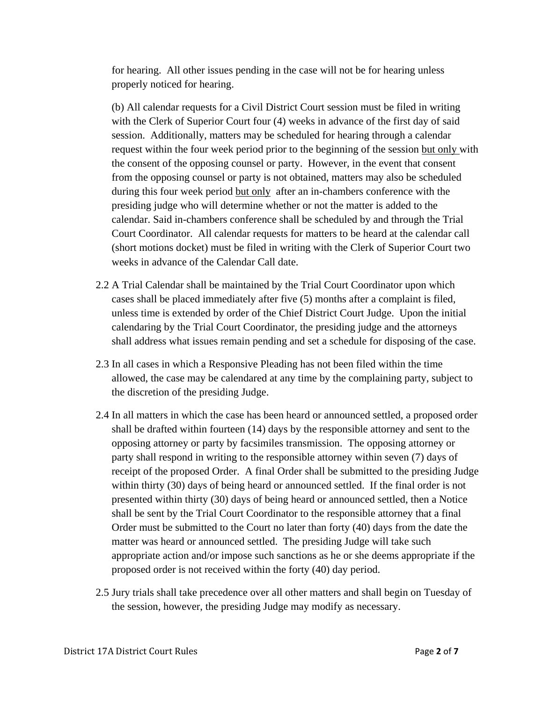for hearing. All other issues pending in the case will not be for hearing unless properly noticed for hearing.

 (b) All calendar requests for a Civil District Court session must be filed in writing with the Clerk of Superior Court four (4) weeks in advance of the first day of said session. Additionally, matters may be scheduled for hearing through a calendar request within the four week period prior to the beginning of the session but only with the consent of the opposing counsel or party. However, in the event that consent from the opposing counsel or party is not obtained, matters may also be scheduled during this four week period but only after an in-chambers conference with the presiding judge who will determine whether or not the matter is added to the calendar. Said in-chambers conference shall be scheduled by and through the Trial Court Coordinator. All calendar requests for matters to be heard at the calendar call (short motions docket) must be filed in writing with the Clerk of Superior Court two weeks in advance of the Calendar Call date.

- 2.2 A Trial Calendar shall be maintained by the Trial Court Coordinator upon which cases shall be placed immediately after five (5) months after a complaint is filed, unless time is extended by order of the Chief District Court Judge. Upon the initial calendaring by the Trial Court Coordinator, the presiding judge and the attorneys shall address what issues remain pending and set a schedule for disposing of the case.
- 2.3 In all cases in which a Responsive Pleading has not been filed within the time allowed, the case may be calendared at any time by the complaining party, subject to the discretion of the presiding Judge.
- 2.4 In all matters in which the case has been heard or announced settled, a proposed order shall be drafted within fourteen (14) days by the responsible attorney and sent to the opposing attorney or party by facsimiles transmission. The opposing attorney or party shall respond in writing to the responsible attorney within seven (7) days of receipt of the proposed Order. A final Order shall be submitted to the presiding Judge within thirty (30) days of being heard or announced settled. If the final order is not presented within thirty (30) days of being heard or announced settled, then a Notice shall be sent by the Trial Court Coordinator to the responsible attorney that a final Order must be submitted to the Court no later than forty (40) days from the date the matter was heard or announced settled. The presiding Judge will take such appropriate action and/or impose such sanctions as he or she deems appropriate if the proposed order is not received within the forty (40) day period.
- 2.5 Jury trials shall take precedence over all other matters and shall begin on Tuesday of the session, however, the presiding Judge may modify as necessary.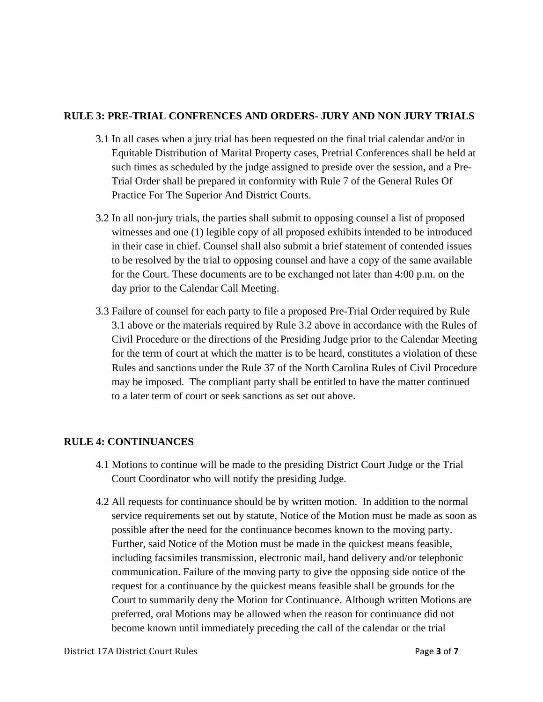#### **RULE 3: PRE-TRIAL CONFRENCES AND ORDERS- JURY AND NON JURY TRIALS**

- 3.1 In all cases when a jury trial has been requested on the final trial calendar and/or in Equitable Distribution of Marital Property cases, Pretrial Conferences shall be held at such times as scheduled by the judge assigned to preside over the session, and a Pre-Trial Order shall be prepared in conformity with Rule 7 of the General Rules Of Practice For The Superior And District Courts.
- 3.2 In all non-jury trials, the parties shall submit to opposing counsel a list of proposed witnesses and one (1) legible copy of all proposed exhibits intended to be introduced in their case in chief. Counsel shall also submit a brief statement of contended issues to be resolved by the trial to opposing counsel and have a copy of the same available for the Court. These documents are to be exchanged not later than 4:00 p.m. on the day prior to the Calendar Call Meeting.
- 3.3 Failure of counsel for each party to file a proposed Pre-Trial Order required by Rule 3.1 above or the materials required by Rule 3.2 above in accordance with the Rules of Civil Procedure or the directions of the Presiding Judge prior to the Calendar Meeting for the term of court at which the matter is to be heard, constitutes a violation of these Rules and sanctions under the Rule 37 of the North Carolina Rules of Civil Procedure may be imposed. The compliant party shall be entitled to have the matter continued to a later term of court or seek sanctions as set out above.

### <span id="page-2-1"></span>**RULE 4: CONTINUANCES**

- 4.1 Motions to continue will be made to the presiding District Court Judge or the Trial Court Coordinator who will notify the presiding Judge.
- <span id="page-2-0"></span>4.2 All requests for continuance should be by written motion. In addition to the normal service requirements set out by statute, Notice of the Motion must be made as soon as possible after the need for the continuance becomes known to the moving party. Further, said Notice of the Motion must be made in the quickest means feasible, including facsimiles transmission, electronic mail, hand delivery and/or telephonic communication. Failure of the moving party to give the opposing side notice of the request for a continuance by the quickest means feasible shall be grounds for the Court to summarily deny the Motion for Continuance. Although written Motions are preferred, oral Motions may be allowed when the reason for continuance did not become known until immediately preceding the call of the calendar or the trial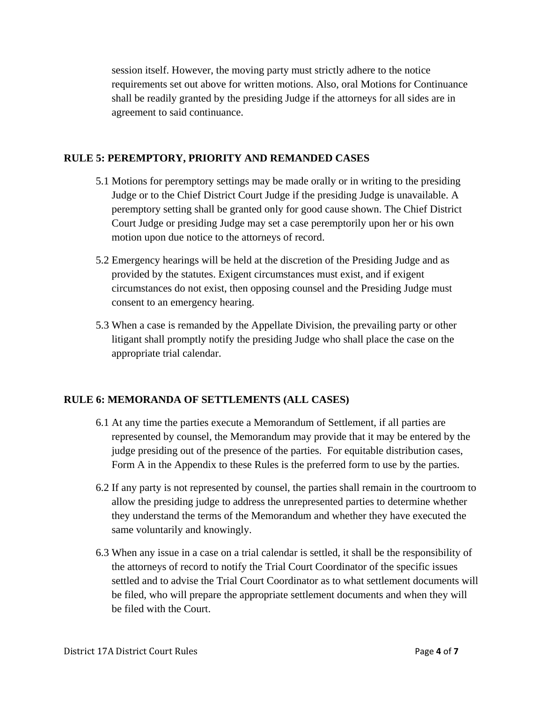session itself. However, the moving party must strictly adhere to the notice requirements set out above for written motions. Also, oral Motions for Continuance shall be readily granted by the presiding Judge if the attorneys for all sides are in agreement to said continuance.

### <span id="page-3-0"></span>**RULE 5: PEREMPTORY, PRIORITY AND REMANDED CASES**

- 5.1 Motions for peremptory settings may be made orally or in writing to the presiding Judge or to the Chief District Court Judge if the presiding Judge is unavailable. A peremptory setting shall be granted only for good cause shown. The Chief District Court Judge or presiding Judge may set a case peremptorily upon her or his own motion upon due notice to the attorneys of record.
- 5.2 Emergency hearings will be held at the discretion of the Presiding Judge and as provided by the statutes. Exigent circumstances must exist, and if exigent circumstances do not exist, then opposing counsel and the Presiding Judge must consent to an emergency hearing.
- 5.3 When a case is remanded by the Appellate Division, the prevailing party or other litigant shall promptly notify the presiding Judge who shall place the case on the appropriate trial calendar.

# <span id="page-3-1"></span>**RULE 6: MEMORANDA OF SETTLEMENTS (ALL CASES)**

- 6.1 At any time the parties execute a Memorandum of Settlement, if all parties are represented by counsel, the Memorandum may provide that it may be entered by the judge presiding out of the presence of the parties. For equitable distribution cases, Form A in the Appendix to these Rules is the preferred form to use by the parties.
- 6.2 If any party is not represented by counsel, the parties shall remain in the courtroom to allow the presiding judge to address the unrepresented parties to determine whether they understand the terms of the Memorandum and whether they have executed the same voluntarily and knowingly.
- 6.3 When any issue in a case on a trial calendar is settled, it shall be the responsibility of the attorneys of record to notify the Trial Court Coordinator of the specific issues settled and to advise the Trial Court Coordinator as to what settlement documents will be filed, who will prepare the appropriate settlement documents and when they will be filed with the Court.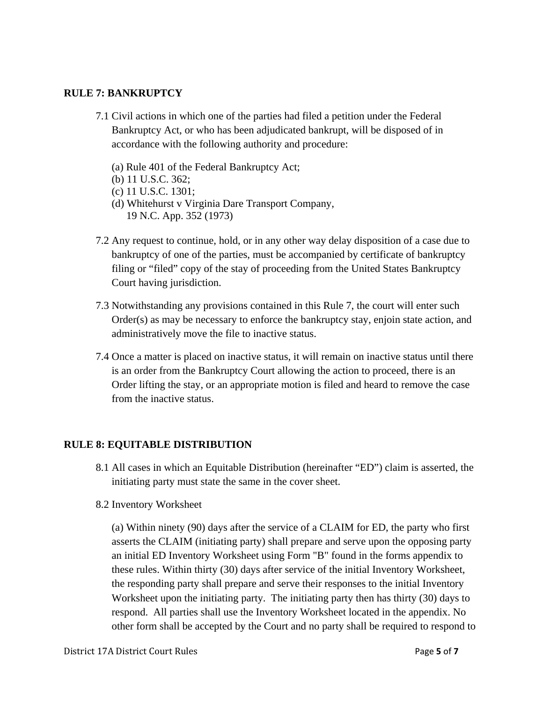#### **RULE 7: BANKRUPTCY**

- 7.1 Civil actions in which one of the parties had filed a petition under the Federal Bankruptcy Act, or who has been adjudicated bankrupt, will be disposed of in accordance with the following authority and procedure:
	- (a) Rule 401 of the Federal Bankruptcy Act;
	- (b) 11 U.S.C. 362;
	- (c) 11 U.S.C. 1301;
	- (d) Whitehurst v Virginia Dare Transport Company, 19 N.C. App. 352 (1973)
- 7.2 Any request to continue, hold, or in any other way delay disposition of a case due to bankruptcy of one of the parties, must be accompanied by certificate of bankruptcy filing or "filed" copy of the stay of proceeding from the United States Bankruptcy Court having jurisdiction.
- 7.3 Notwithstanding any provisions contained in this Rule 7, the court will enter such Order(s) as may be necessary to enforce the bankruptcy stay, enjoin state action, and administratively move the file to inactive status.
- 7.4 Once a matter is placed on inactive status, it will remain on inactive status until there is an order from the Bankruptcy Court allowing the action to proceed, there is an Order lifting the stay, or an appropriate motion is filed and heard to remove the case from the inactive status.

#### <span id="page-4-1"></span>**RULE 8: EQUITABLE DISTRIBUTION**

- 8.1 All cases in which an Equitable Distribution (hereinafter "ED") claim is asserted, the initiating party must state the same in the cover sheet.
- 8.2 Inventory Worksheet

<span id="page-4-0"></span> (a) Within ninety (90) days after the service of a CLAIM for ED, the party who first asserts the CLAIM (initiating party) shall prepare and serve upon the opposing party an initial ED Inventory Worksheet using Form "B" found in the forms appendix to these rules. Within thirty (30) days after service of the initial Inventory Worksheet, the responding party shall prepare and serve their responses to the initial Inventory Worksheet upon the initiating party. The initiating party then has thirty (30) days to respond. All parties shall use the Inventory Worksheet located in the appendix. No other form shall be accepted by the Court and no party shall be required to respond to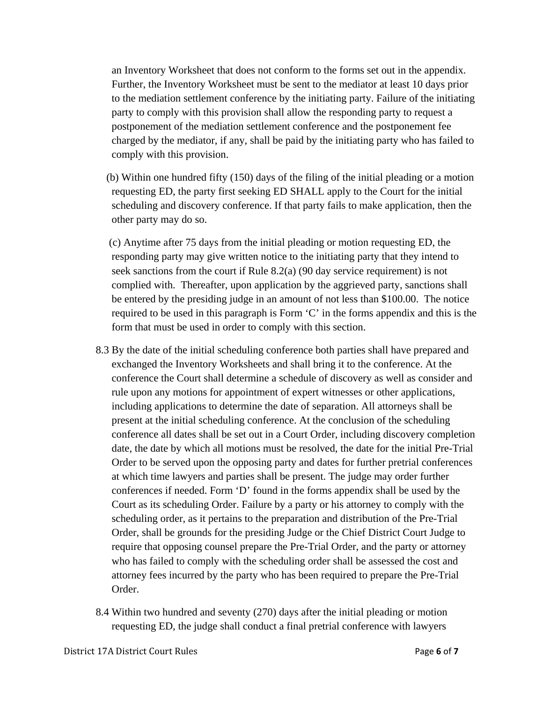an Inventory Worksheet that does not conform to the forms set out in the appendix. Further, the Inventory Worksheet must be sent to the mediator at least 10 days prior to the mediation settlement conference by the initiating party. Failure of the initiating party to comply with this provision shall allow the responding party to request a postponement of the mediation settlement conference and the postponement fee charged by the mediator, if any, shall be paid by the initiating party who has failed to comply with this provision.

 (b) Within one hundred fifty (150) days of the filing of the initial pleading or a motion requesting ED, the party first seeking ED SHALL apply to the Court for the initial scheduling and discovery conference. If that party fails to make application, then the other party may do so.

 (c) Anytime after 75 days from the initial pleading or motion requesting ED, the responding party may give written notice to the initiating party that they intend to seek sanctions from the court if Rule 8.2(a) (90 day service requirement) is not complied with. Thereafter, upon application by the aggrieved party, sanctions shall be entered by the presiding judge in an amount of not less than \$100.00. The notice required to be used in this paragraph is Form 'C' in the forms appendix and this is the form that must be used in order to comply with this section.

- 8.3 By the date of the initial scheduling conference both parties shall have prepared and exchanged the Inventory Worksheets and shall bring it to the conference. At the conference the Court shall determine a schedule of discovery as well as consider and rule upon any motions for appointment of expert witnesses or other applications, including applications to determine the date of separation. All attorneys shall be present at the initial scheduling conference. At the conclusion of the scheduling conference all dates shall be set out in a Court Order, including discovery completion date, the date by which all motions must be resolved, the date for the initial Pre-Trial Order to be served upon the opposing party and dates for further pretrial conferences at which time lawyers and parties shall be present. The judge may order further conferences if needed. Form 'D' found in the forms appendix shall be used by the Court as its scheduling Order. Failure by a party or his attorney to comply with the scheduling order, as it pertains to the preparation and distribution of the Pre-Trial Order, shall be grounds for the presiding Judge or the Chief District Court Judge to require that opposing counsel prepare the Pre-Trial Order, and the party or attorney who has failed to comply with the scheduling order shall be assessed the cost and attorney fees incurred by the party who has been required to prepare the Pre-Trial Order.
- 8.4 Within two hundred and seventy (270) days after the initial pleading or motion requesting ED, the judge shall conduct a final pretrial conference with lawyers